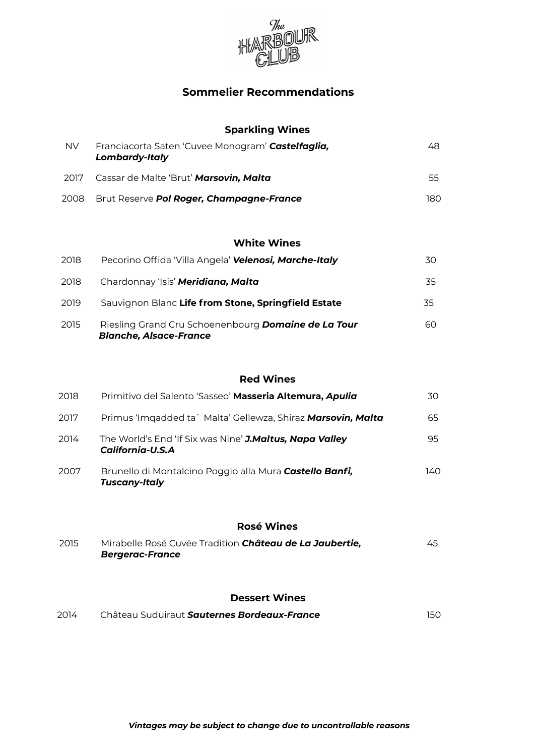

# **Sommelier Recommendations**

## **Sparkling Wines**

| <b>NV</b> | Franciacorta Saten 'Cuvee Monogram' Castelfaglia,<br><b>Lombardy-Italy</b> | 48. |
|-----------|----------------------------------------------------------------------------|-----|
| 2017      | Cassar de Malte 'Brut' Marsovin, Malta                                     | 55  |
| 2008      | Brut Reserve <b>Pol Roger, Champagne-France</b>                            | 180 |

### **White Wines**

| 2018 | Pecorino Offida 'Villa Angela' Velenosi, Marche-Italy                                       | 30. |
|------|---------------------------------------------------------------------------------------------|-----|
| 2018 | Chardonnay 'Isis' Meridiana, Malta                                                          | 35  |
| 2019 | Sauvignon Blanc Life from Stone, Springfield Estate                                         | 35  |
| 2015 | Riesling Grand Cru Schoenenbourg <b>Domaine de La Tour</b><br><b>Blanche, Alsace-France</b> | 60. |

## **Red Wines**

| 2018 | Primitivo del Salento 'Sasseo' Masseria Altemura, Apulia                    | 30   |
|------|-----------------------------------------------------------------------------|------|
| 2017 | Primus 'Imgadded ta` Malta' Gellewza, Shiraz Marsovin, Malta                | 65   |
| 2014 | The World's End 'If Six was Nine' J.Maltus, Napa Valley<br>California-U.S.A | 95.  |
| 2007 | Brunello di Montalcino Poggio alla Mura Castello Banfi,<br>Tuscany-Italy    | 140. |

## **Rosé Wines**

| 2015 | Mirabelle Rosé Cuvée Tradition Château de La Jaubertie, | 45 |
|------|---------------------------------------------------------|----|
|      | Bergerac-France                                         |    |

#### **Dessert Wines**

| 2014 | Château Suduiraut Sauternes Bordeaux-France |  |
|------|---------------------------------------------|--|
|      |                                             |  |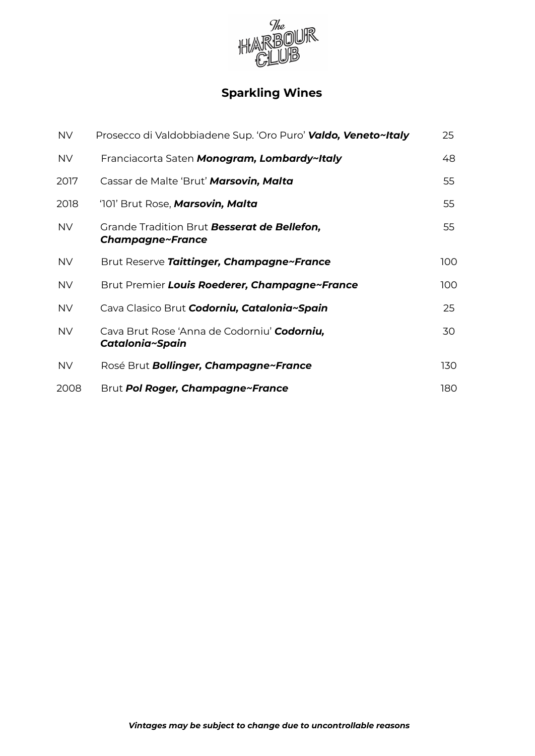

# **Sparkling Wines**

| <b>NV</b> | Prosecco di Valdobbiadene Sup. 'Oro Puro' <b>Valdo, Veneto~Italy</b>   | 25  |
|-----------|------------------------------------------------------------------------|-----|
| <b>NV</b> | Franciacorta Saten Monogram, Lombardy~Italy                            | 48  |
| 2017      | Cassar de Malte 'Brut' Marsovin, Malta                                 | 55  |
| 2018      | '101' Brut Rose, Marsovin, Malta                                       | 55  |
| <b>NV</b> | Grande Tradition Brut <b>Besserat de Bellefon,</b><br>Champagne~France | 55  |
| <b>NV</b> | Brut Reserve Taittinger, Champagne~France                              | 100 |
| <b>NV</b> | Brut Premier Louis Roederer, Champagne~France                          | 100 |
| <b>NV</b> | Cava Clasico Brut <b>Codorniu, Catalonia~Spain</b>                     | 25  |
| <b>NV</b> | Cava Brut Rose 'Anna de Codorniu' <b>Codorniu,</b><br>Catalonia~Spain  | 30  |
| <b>NV</b> | Rosé Brut <b>Bollinger, Champagne~France</b>                           | 130 |
| 2008      | Brut Pol Roger, Champagne~France                                       | 180 |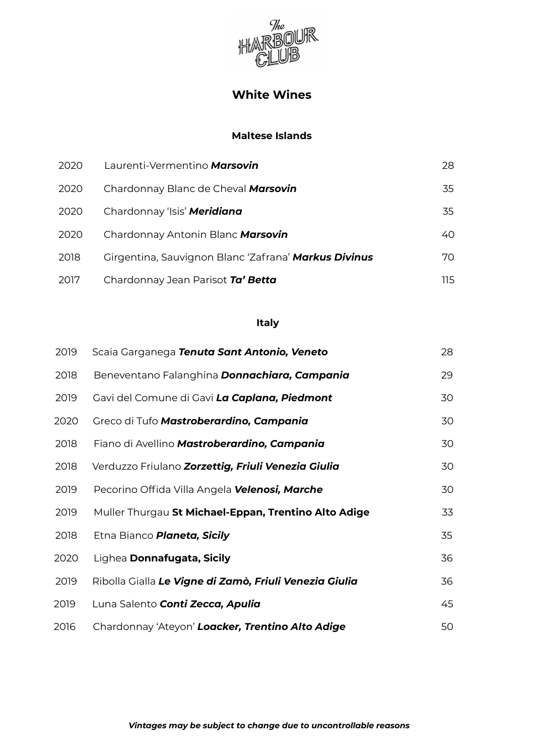

# **White Wines**

## **Maltese Islands**

| 2020 | Laurenti-Vermentino Marsovin                         | 28. |
|------|------------------------------------------------------|-----|
| 2020 | Chardonnay Blanc de Cheval Marsovin                  | 35  |
| 2020 | Chardonnay 'Isis' Meridiana                          | 35  |
| 2020 | Chardonnay Antonin Blanc Marsovin                    | 40. |
| 2018 | Girgentina, Sauvignon Blanc 'Zafrana' Markus Divinus | 70. |
| 2017 | Chardonnay Jean Parisot Ta' Betta                    | 115 |

## **Italy**

| 2019 | Scaia Garganega Tenuta Sant Antonio, Veneto            | 28 |
|------|--------------------------------------------------------|----|
| 2018 | Beneventano Falanghina Donnachiara, Campania           | 29 |
| 2019 | Gavi del Comune di Gavi La Caplana, Piedmont           | 30 |
| 2020 | Greco di Tufo Mastroberardino, Campania                | 30 |
| 2018 | Fiano di Avellino Mastroberardino, Campania            | 30 |
| 2018 | Verduzzo Friulano Zorzettig, Friuli Venezia Giulia     | 30 |
| 2019 | Pecorino Offida Villa Angela <b>Velenosi, Marche</b>   | 30 |
| 2019 | Muller Thurgau St Michael-Eppan, Trentino Alto Adige   | 33 |
| 2018 | Etna Bianco <b>Planeta, Sicily</b>                     | 35 |
| 2020 | Lighea Donnafugata, Sicily                             | 36 |
| 2019 | Ribolla Gialla Le Vigne di Zamò, Friuli Venezia Giulia | 36 |
| 2019 | Luna Salento <b>Conti Zecca, Apulia</b>                | 45 |
| 2016 | Chardonnay 'Ateyon' Loacker, Trentino Alto Adige       | 50 |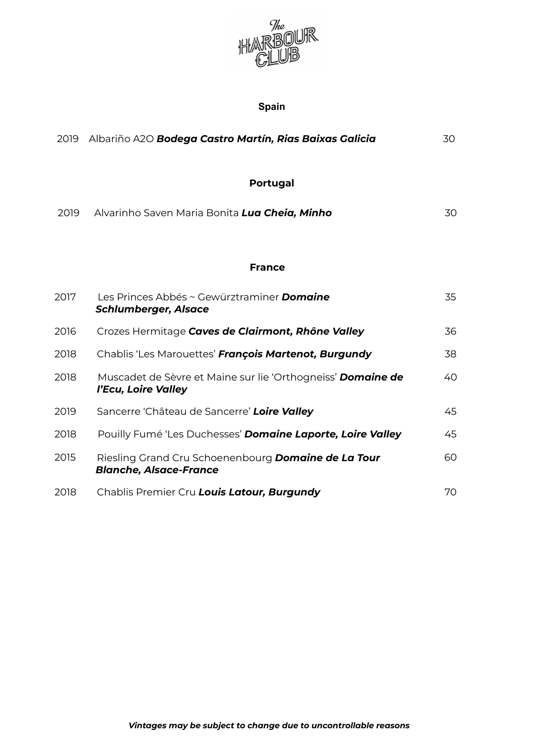

# **Spain**

| 2019 | Albariño A2O Bodega Castro Martín, Rias Baixas Galicia                                      | 30 |
|------|---------------------------------------------------------------------------------------------|----|
|      | <b>Portugal</b>                                                                             |    |
| 2019 | Alvarinho Saven Maria Bonita Lua Cheia, Minho                                               | 30 |
|      | <b>France</b>                                                                               |    |
| 2017 | Les Princes Abbés ~ Gewürztraminer <b>Domgine</b><br><b>Schlumberger, Alsace</b>            | 35 |
| 2016 | Crozes Hermitage Caves de Clairmont, Rhône Valley                                           | 36 |
| 2018 | Chablis 'Les Marouettes' François Martenot, Burgundy                                        | 38 |
| 2018 | Muscadet de Sèvre et Maine sur lie 'Orthogneiss' Domaine de<br>l'Ecu, Loire Valley          | 40 |
| 2019 | Sancerre 'Château de Sancerre' Loire Valley                                                 | 45 |
| 2018 | Pouilly Fumé 'Les Duchesses' Domaine Laporte, Loire Valley                                  | 45 |
| 2015 | Riesling Grand Cru Schoenenbourg <b>Domaine de La Tour</b><br><b>Blanche, Alsace-France</b> | 60 |
| 2018 | Chablis Premier Cru Louis Latour, Burgundy                                                  | 70 |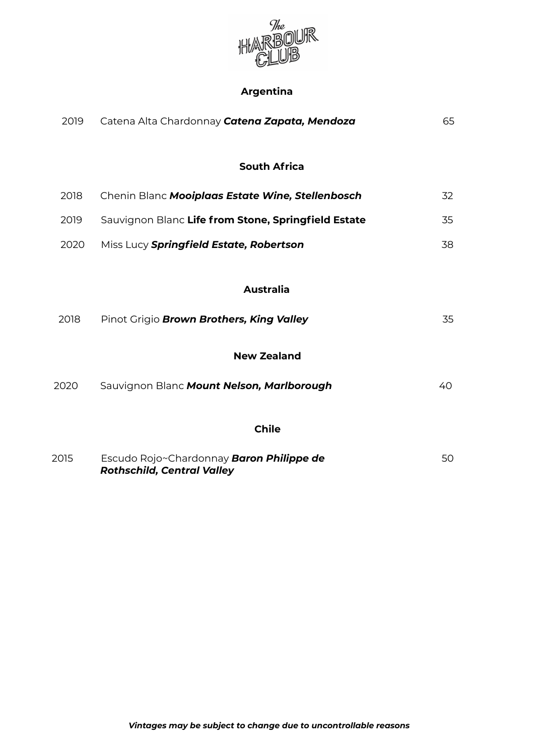

# **Argentina**

| 2019 | Catena Alta Chardonnay Catena Zapata, Mendoza                                        | 65 |
|------|--------------------------------------------------------------------------------------|----|
|      | <b>South Africa</b>                                                                  |    |
| 2018 | Chenin Blanc Mooiplaas Estate Wine, Stellenbosch                                     | 32 |
| 2019 | Sauvignon Blanc Life from Stone, Springfield Estate                                  | 35 |
| 2020 | Miss Lucy Springfield Estate, Robertson                                              | 38 |
| 2018 | <b>Australia</b><br>Pinot Grigio Brown Brothers, King Valley                         | 35 |
|      | <b>New Zealand</b>                                                                   |    |
| 2020 | Sauvignon Blanc Mount Nelson, Marlborough                                            | 40 |
|      | <b>Chile</b>                                                                         |    |
| 2015 | Escudo Rojo~Chardonnay <b>Baron Philippe de</b><br><b>Rothschild, Central Valley</b> | 50 |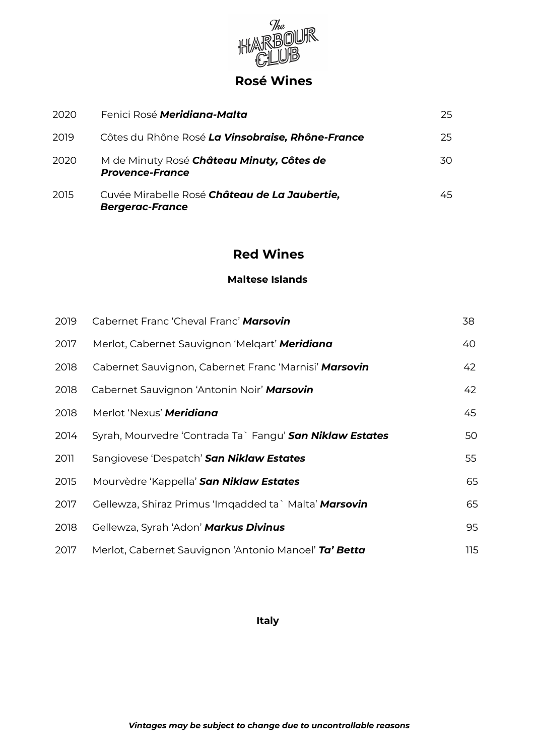

# **Rosé Wines**

| 2020 | Fenici Rosé <b>Meridiana-Malta</b>                                      | 25. |
|------|-------------------------------------------------------------------------|-----|
| 2019 | Côtes du Rhône Rosé La Vinsobraise, Rhône-France                        | 25. |
| 2020 | M de Minuty Rosé Château Minuty, Côtes de<br><b>Provence-France</b>     | 30. |
| 2015 | Cuvée Mirabelle Rosé Château de La Jaubertie,<br><b>Bergerac-France</b> | 45. |

# **Red Wines**

### **Maltese Islands**

| 2019 | Cabernet Franc 'Cheval Franc' Marsovin                   | 38  |
|------|----------------------------------------------------------|-----|
| 2017 | Merlot, Cabernet Sauvignon 'Melqart' Meridiana           | 40  |
| 2018 | Cabernet Sauvignon, Cabernet Franc 'Marnisi' Marsovin    | 42  |
| 2018 | Cabernet Sauvignon 'Antonin Noir' Marsovin               | 42  |
| 2018 | Merlot 'Nexus' <b>Meridiana</b>                          | 45  |
| 2014 | Syrah, Mourvedre 'Contrada Ta` Fangu' San Niklaw Estates | 50  |
| 2011 | Sangiovese 'Despatch' San Niklaw Estates                 | 55  |
| 2015 | Mourvèdre 'Kappella' San Niklaw Estates                  | 65  |
| 2017 | Gellewza, Shiraz Primus 'Imqadded ta` Malta' Marsovin    | 65  |
| 2018 | Gellewza, Syrah 'Adon' Markus Divinus                    | 95  |
| 2017 | Merlot, Cabernet Sauvignon 'Antonio Manoel' Ta' Betta    | 115 |

**Italy**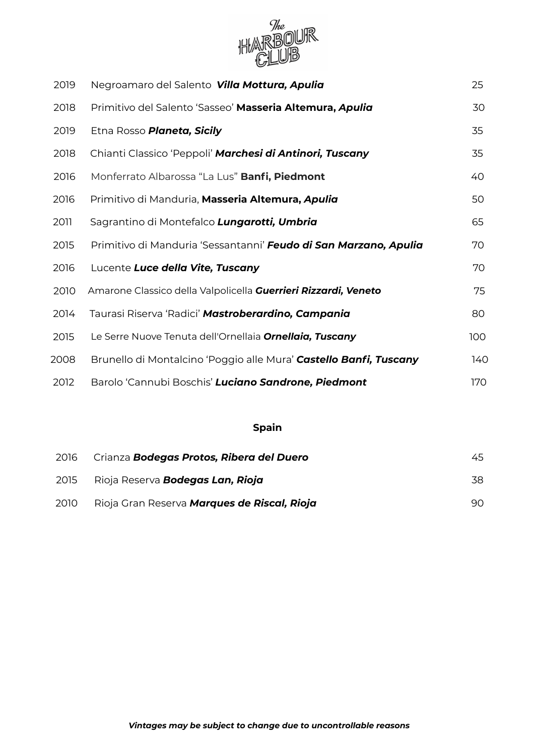

| 2019 | Negroamaro del Salento Villa Mottura, Apulia                      | 25  |
|------|-------------------------------------------------------------------|-----|
| 2018 | Primitivo del Salento 'Sasseo' Masseria Altemura, Apulia          | 30  |
| 2019 | Etna Rosso Planeta, Sicily                                        | 35  |
| 2018 | Chianti Classico 'Peppoli' Marchesi di Antinori, Tuscany          | 35  |
| 2016 | Monferrato Albarossa "La Lus" Banfi, Piedmont                     | 40  |
| 2016 | Primitivo di Manduria, Masseria Altemura, Apulia                  | 50  |
| 2011 | Sagrantino di Montefalco Lungarotti, Umbria                       | 65  |
| 2015 | Primitivo di Manduria 'Sessantanni' Feudo di San Marzano, Apulia  | 70  |
| 2016 | Lucente Luce della Vite, Tuscany                                  | 70  |
| 2010 | Amarone Classico della Valpolicella Guerrieri Rizzardi, Veneto    | 75  |
| 2014 | Taurasi Riserva 'Radici' Mastroberardino, Campania                | 80  |
| 2015 | Le Serre Nuove Tenuta dell'Ornellaia Ornellaia, Tuscany           | 100 |
| 2008 | Brunello di Montalcino 'Poggio alle Mura' Castello Banfi, Tuscany | 140 |
| 2012 | Barolo 'Cannubi Boschis' Luciano Sandrone, Piedmont               | 170 |

# **Spain**

| 2016 | Crianza <b>Bodegas Protos, Ribera del Duero</b> | 45. |
|------|-------------------------------------------------|-----|
| 2015 | Rioja Reserva <b>Bodegas Lan, Rioja</b>         | 38  |
| 2010 | Rioja Gran Reserva Marques de Riscal, Rioja     | 90. |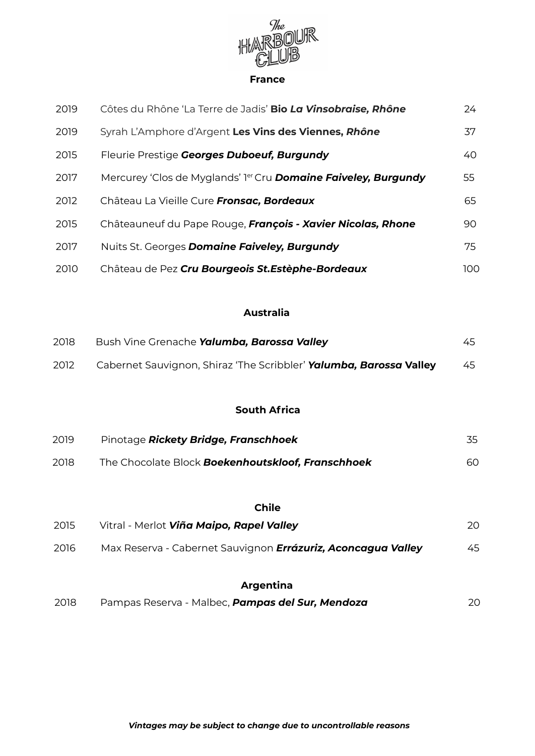

#### **France**

| 2019 | Côtes du Rhône 'La Terre de Jadis' Bio La Vinsobraise, Rhône                      | 24   |
|------|-----------------------------------------------------------------------------------|------|
| 2019 | Syrah L'Amphore d'Argent Les Vins des Viennes, Rhône                              | 37   |
| 2015 | Fleurie Prestige Georges Duboeuf, Burgundy                                        | 40   |
| 2017 | Mercurey 'Clos de Myglands' l <sup>er</sup> Cru <b>Domaine Faiveley, Burgundy</b> | 55   |
| 2012 | Château La Vieille Cure Fronsac, Bordeaux                                         | 65   |
| 2015 | Châteauneuf du Pape Rouge, François - Xavier Nicolas, Rhone                       | 90   |
| 2017 | Nuits St. Georges <b>Domaine Faiveley, Burgundy</b>                               | 75   |
| 2010 | Château de Pez Cru Bourgeois St.Estèphe-Bordeaux                                  | 100. |

# **Australia**

| 2018 | Bush Vine Grenache Yalumba, Barossa Valley                         | 45. |
|------|--------------------------------------------------------------------|-----|
| 2012 | Cabernet Sauvignon, Shiraz 'The Scribbler' Yalumba, Barossa Valley | 45  |

## **South Africa**

| 2019 | Pinotage <b>Rickety Bridge, Franschhoek</b>              |     |
|------|----------------------------------------------------------|-----|
| 2018 | The Chocolate Block <b>Boekenhoutskloof, Franschhoek</b> | 60. |

## **Chile**

| 2015 | Vitral - Merlot <b>Viña Maipo, Rapel Valley</b>                     | 20. |
|------|---------------------------------------------------------------------|-----|
| 2016 | Max Reserva - Cabernet Sauvignon <b>Errázuriz, Aconcagua Valley</b> | 45  |

# **Argentina**

| 2018 |  | Pampas Reserva - Malbec, <b>Pampas del Sur, Mendoza</b> | 20 |
|------|--|---------------------------------------------------------|----|
|------|--|---------------------------------------------------------|----|